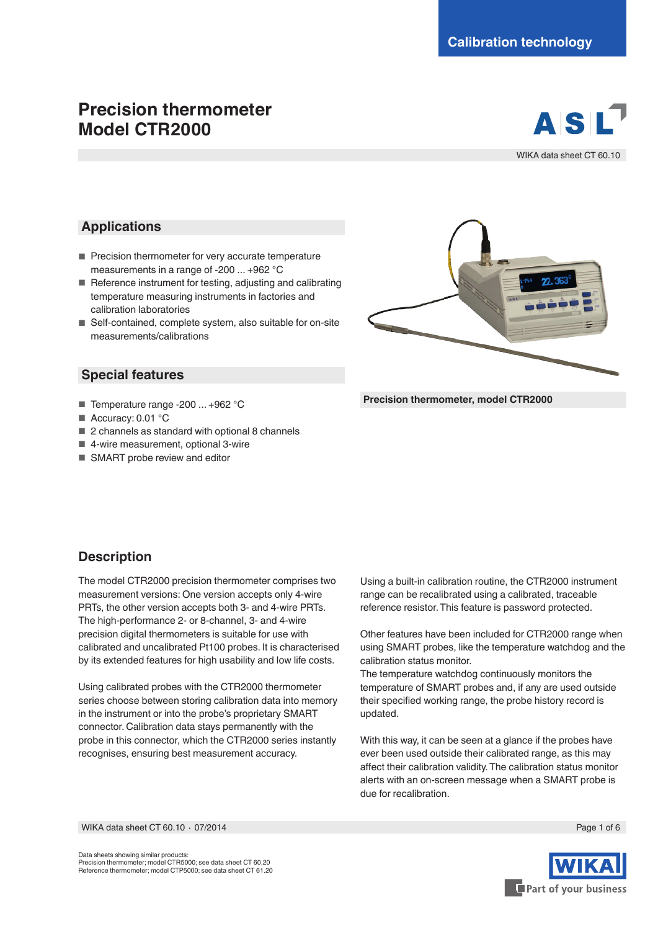# **Precision thermometer Model CTR2000**



WIKA data sheet CT 60.10

### **Applications**

- Precision thermometer for very accurate temperature measurements in a range of -200 ... +962 °C
- Reference instrument for testing, adjusting and calibrating temperature measuring instruments in factories and calibration laboratories
- Self-contained, complete system, also suitable for on-site measurements/calibrations

#### **Special features**

- Temperature range -200 ... +962 °C
- Accuracy: 0.01 °C
- 2 channels as standard with optional 8 channels
- 4-wire measurement, optional 3-wire
- SMART probe review and editor



**Precision thermometer, model CTR2000**

### **Description**

The model CTR2000 precision thermometer comprises two measurement versions: One version accepts only 4-wire PRTs, the other version accepts both 3- and 4-wire PRTs. The high-performance 2- or 8-channel, 3- and 4-wire precision digital thermometers is suitable for use with calibrated and uncalibrated Pt100 probes. It is characterised by its extended features for high usability and low life costs.

Using calibrated probes with the CTR2000 thermometer series choose between storing calibration data into memory in the instrument or into the probe's proprietary SMART connector. Calibration data stays permanently with the probe in this connector, which the CTR2000 series instantly recognises, ensuring best measurement accuracy.

Using a built-in calibration routine, the CTR2000 instrument range can be recalibrated using a calibrated, traceable reference resistor. This feature is password protected.

Other features have been included for CTR2000 range when using SMART probes, like the temperature watchdog and the calibration status monitor.

The temperature watchdog continuously monitors the temperature of SMART probes and, if any are used outside their specified working range, the probe history record is updated.

With this way, it can be seen at a glance if the probes have ever been used outside their calibrated range, as this may affect their calibration validity. The calibration status monitor alerts with an on-screen message when a SMART probe is due for recalibration.

WIKA data sheet CT 60.10 ⋅ 07/2014 Page 1 of 6



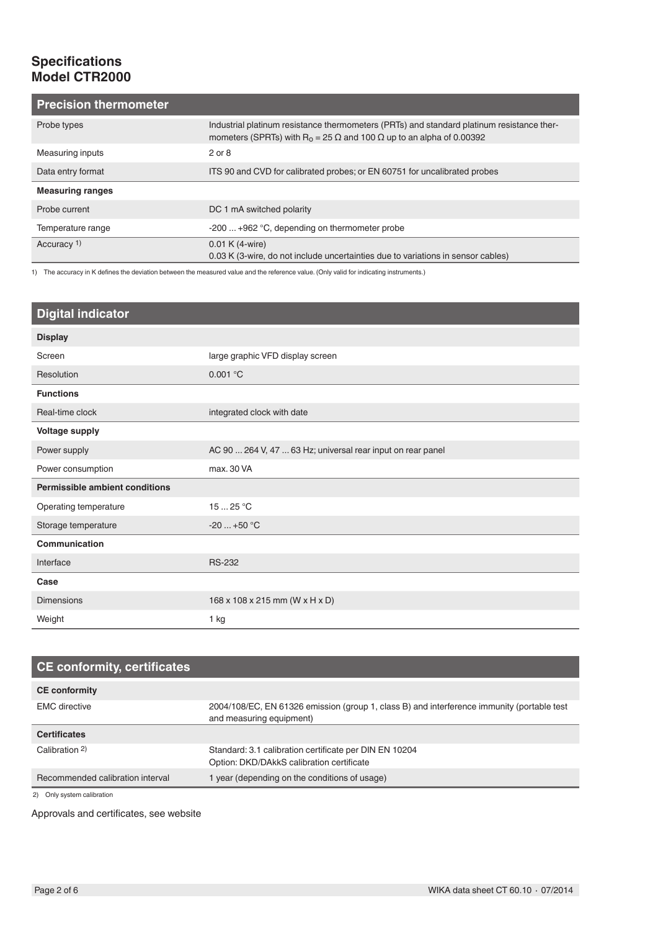## **Specifications Model CTR2000**

| <b>Precision thermometer</b> |                                                                                                                                                                                            |  |
|------------------------------|--------------------------------------------------------------------------------------------------------------------------------------------------------------------------------------------|--|
| Probe types                  | Industrial platinum resistance thermometers (PRTs) and standard platinum resistance ther-<br>mometers (SPRTs) with R <sub>0</sub> = 25 $\Omega$ and 100 $\Omega$ up to an alpha of 0.00392 |  |
| Measuring inputs             | $2$ or $8$                                                                                                                                                                                 |  |
| Data entry format            | ITS 90 and CVD for calibrated probes; or EN 60751 for uncalibrated probes                                                                                                                  |  |
| <b>Measuring ranges</b>      |                                                                                                                                                                                            |  |
| Probe current                | DC 1 mA switched polarity                                                                                                                                                                  |  |
| Temperature range            | $-200+962$ °C, depending on thermometer probe                                                                                                                                              |  |
| Accuracy 1)                  | $0.01 K (4-wire)$                                                                                                                                                                          |  |
|                              | 0.03 K (3-wire, do not include uncertainties due to variations in sensor cables)                                                                                                           |  |

1) The accuracy in K defines the deviation between the measured value and the reference value. (Only valid for indicating instruments.)

| <b>Digital indicator</b>              |                                                             |  |  |
|---------------------------------------|-------------------------------------------------------------|--|--|
| <b>Display</b>                        |                                                             |  |  |
| Screen                                | large graphic VFD display screen                            |  |  |
| Resolution                            | 0.001 °C                                                    |  |  |
| <b>Functions</b>                      |                                                             |  |  |
| Real-time clock                       | integrated clock with date                                  |  |  |
| <b>Voltage supply</b>                 |                                                             |  |  |
| Power supply                          | AC 90  264 V, 47  63 Hz; universal rear input on rear panel |  |  |
| Power consumption                     | max. 30 VA                                                  |  |  |
| <b>Permissible ambient conditions</b> |                                                             |  |  |
| Operating temperature                 | 1525 °C                                                     |  |  |
| Storage temperature                   | $-20$ $+50$ °C                                              |  |  |
| Communication                         |                                                             |  |  |
| Interface                             | <b>RS-232</b>                                               |  |  |
| Case                                  |                                                             |  |  |
| <b>Dimensions</b>                     | 168 x 108 x 215 mm (W x H x D)                              |  |  |
| Weight                                | $1$ kg                                                      |  |  |

| <b>CE conformity, certificates</b> |                                                                                                                        |
|------------------------------------|------------------------------------------------------------------------------------------------------------------------|
| <b>CE conformity</b>               |                                                                                                                        |
| <b>EMC</b> directive               | 2004/108/EC, EN 61326 emission (group 1, class B) and interference immunity (portable test<br>and measuring equipment) |
| <b>Certificates</b>                |                                                                                                                        |
| Calibration 2)                     | Standard: 3.1 calibration certificate per DIN EN 10204<br>Option: DKD/DAkkS calibration certificate                    |
| Recommended calibration interval   | 1 year (depending on the conditions of usage)                                                                          |

2) Only system calibration

Approvals and certificates, see website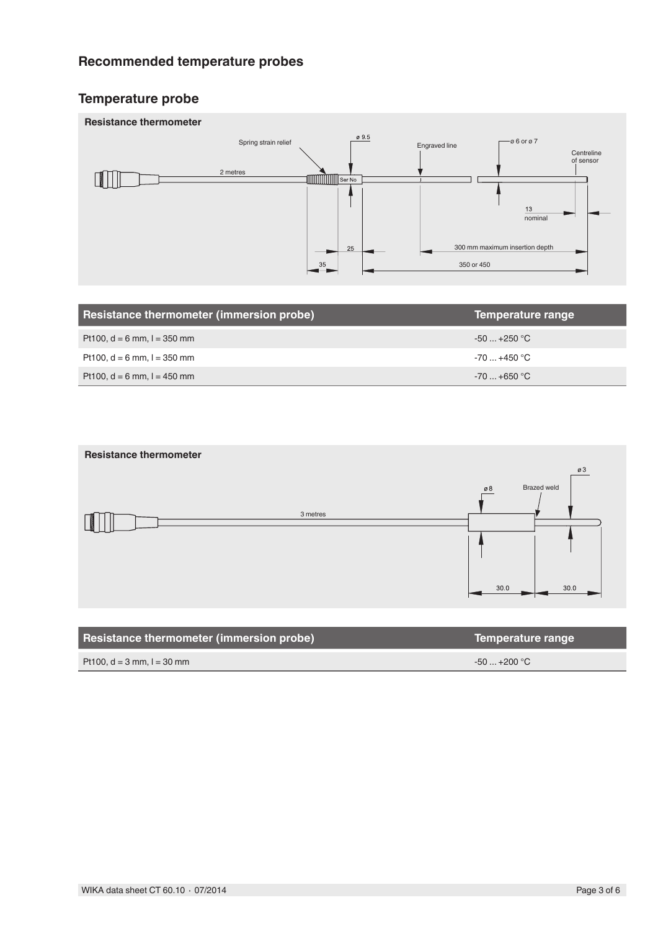## **Recommended temperature probes**

## **Temperature probe**



| Resistance thermometer (immersion probe) | Temperature range |
|------------------------------------------|-------------------|
| Pt100, $d = 6$ mm, $l = 350$ mm          | $-50+250$ °C      |
| Pt100, $d = 6$ mm, $l = 350$ mm          | $-70+450$ °C      |
| Pt100, $d = 6$ mm, $l = 450$ mm          | $-70+650$ °C      |



| Resistance thermometer (immersion probe) | Temperature range |
|------------------------------------------|-------------------|
| Pt100, $d = 3$ mm, $l = 30$ mm           | $-50+200$ °C      |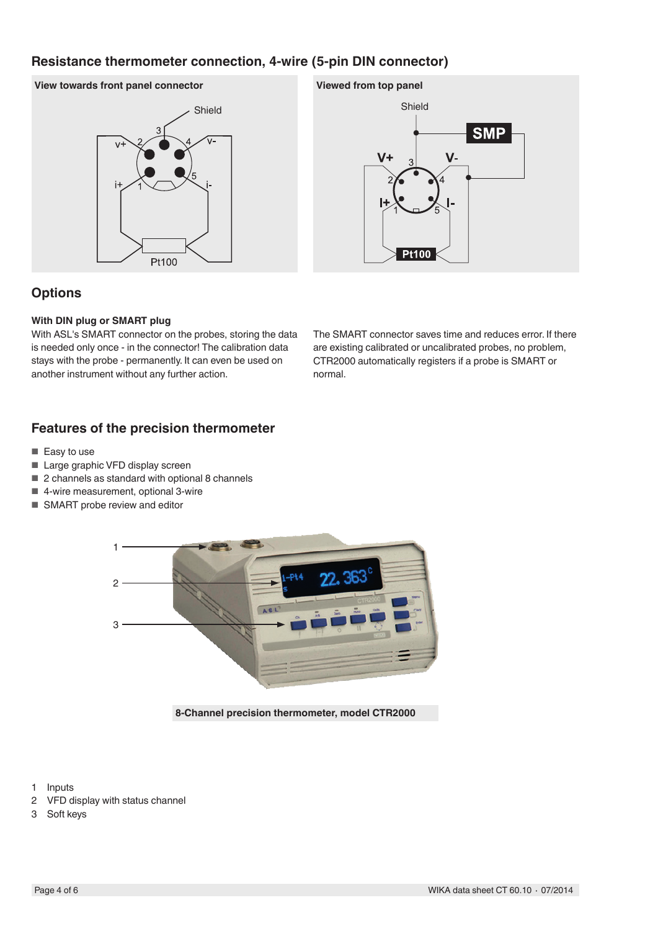## **Resistance thermometer connection, 4-wire (5-pin DIN connector)**

#### **View towards front panel connector**





### **Options**

#### **With DIN plug or SMART plug**

With ASL's SMART connector on the probes, storing the data is needed only once - in the connector! The calibration data stays with the probe - permanently. It can even be used on another instrument without any further action.

The SMART connector saves time and reduces error. If there are existing calibrated or uncalibrated probes, no problem, CTR2000 automatically registers if a probe is SMART or normal.

### **Features of the precision thermometer**

- Easy to use
- Large graphic VFD display screen
- 2 channels as standard with optional 8 channels
- 4-wire measurement, optional 3-wire
- SMART probe review and editor



**8-Channel precision thermometer, model CTR2000**

1 Inputs

- 2 VFD display with status channel
- 3 Soft keys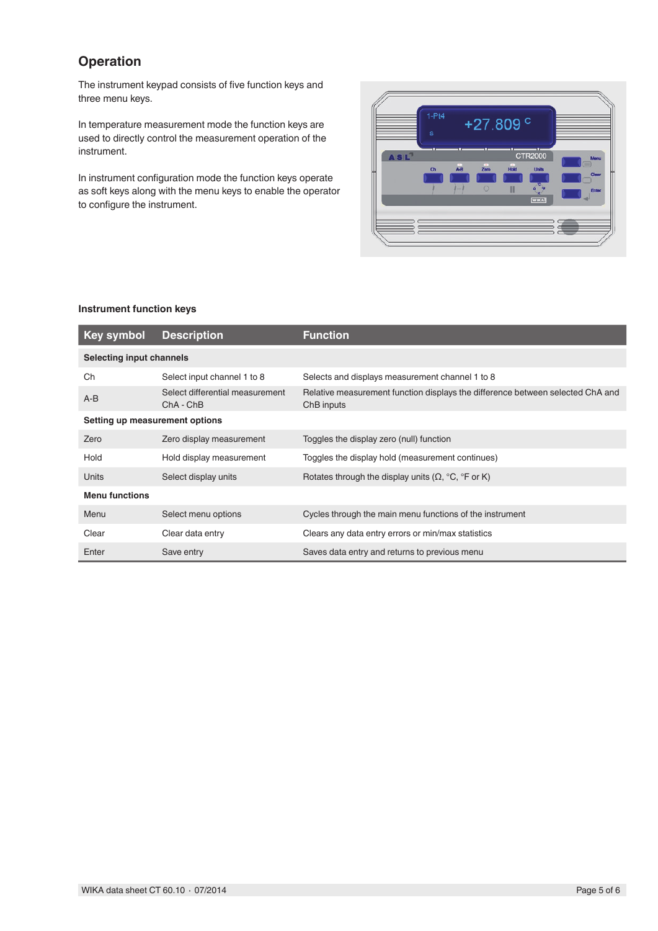## **Operation**

The instrument keypad consists of five function keys and three menu keys.

In temperature measurement mode the function keys are used to directly control the measurement operation of the instrument.

In instrument configuration mode the function keys operate as soft keys along with the menu keys to enable the operator to configure the instrument.



#### **Instrument function keys**

| <b>Key symbol</b>               | <b>Description</b>                             | <b>Function</b>                                                                              |  |  |
|---------------------------------|------------------------------------------------|----------------------------------------------------------------------------------------------|--|--|
| <b>Selecting input channels</b> |                                                |                                                                                              |  |  |
| Ch                              | Select input channel 1 to 8                    | Selects and displays measurement channel 1 to 8                                              |  |  |
| $A-B$                           | Select differential measurement<br>$ChA - ChB$ | Relative measurement function displays the difference between selected ChA and<br>ChB inputs |  |  |
| Setting up measurement options  |                                                |                                                                                              |  |  |
| Zero                            | Zero display measurement                       | Toggles the display zero (null) function                                                     |  |  |
| Hold                            | Hold display measurement                       | Toggles the display hold (measurement continues)                                             |  |  |
| Units                           | Select display units                           | Rotates through the display units $(\Omega, {}^{\circ}C, {}^{\circ}F$ or K)                  |  |  |
| <b>Menu functions</b>           |                                                |                                                                                              |  |  |
| Menu                            | Select menu options                            | Cycles through the main menu functions of the instrument                                     |  |  |
| Clear                           | Clear data entry                               | Clears any data entry errors or min/max statistics                                           |  |  |
| Enter                           | Save entry                                     | Saves data entry and returns to previous menu                                                |  |  |